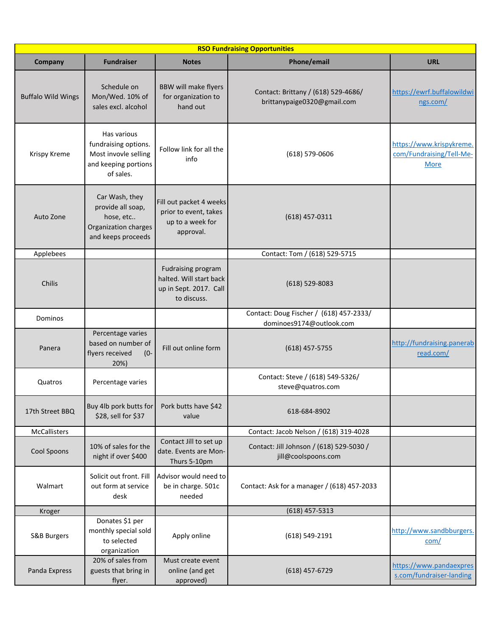| <b>RSO Fundraising Opportunities</b> |                                                                                                  |                                                                                               |                                                                     |                                                                     |  |  |
|--------------------------------------|--------------------------------------------------------------------------------------------------|-----------------------------------------------------------------------------------------------|---------------------------------------------------------------------|---------------------------------------------------------------------|--|--|
| Company                              | <b>Fundraiser</b>                                                                                | <b>Notes</b>                                                                                  | Phone/email                                                         | <b>URL</b>                                                          |  |  |
| <b>Buffalo Wild Wings</b>            | Schedule on<br>Mon/Wed. 10% of<br>sales excl. alcohol                                            | <b>BBW will make flyers</b><br>for organization to<br>hand out                                | Contact: Brittany / (618) 529-4686/<br>brittanypaige0320@gmail.com  | https://ewrf.buffalowildwi<br>ngs.com/                              |  |  |
| Krispy Kreme                         | Has various<br>fundraising options.<br>Most invovle selling<br>and keeping portions<br>of sales. | Follow link for all the<br>info                                                               | $(618) 579 - 0606$                                                  | https://www.krispykreme.<br>com/Fundraising/Tell-Me-<br><b>More</b> |  |  |
| Auto Zone                            | Car Wash, they<br>provide all soap,<br>hose, etc<br>Organization charges<br>and keeps proceeds   | Fill out packet 4 weeks<br>prior to event, takes<br>up to a week for<br>approval.             | $(618)$ 457-0311                                                    |                                                                     |  |  |
| Applebees                            |                                                                                                  |                                                                                               | Contact: Tom / (618) 529-5715                                       |                                                                     |  |  |
| Chilis                               |                                                                                                  | <b>Fudraising program</b><br>halted. Will start back<br>up in Sept. 2017. Call<br>to discuss. | $(618)$ 529-8083                                                    |                                                                     |  |  |
| Dominos                              |                                                                                                  |                                                                                               | Contact: Doug Fischer / (618) 457-2333/<br>dominoes9174@outlook.com |                                                                     |  |  |
| Panera                               | Percentage varies<br>based on number of<br>flyers received<br>$(0 -$<br>20%)                     | Fill out online form                                                                          | $(618)$ 457-5755                                                    | http://fundraising.panerab<br>read.com/                             |  |  |
| Quatros                              | Percentage varies                                                                                |                                                                                               | Contact: Steve / (618) 549-5326/<br>steve@quatros.com               |                                                                     |  |  |
| 17th Street BBQ                      | Buy 4lb pork butts for<br>\$28, sell for \$37                                                    | Pork butts have \$42<br>value                                                                 | 618-684-8902                                                        |                                                                     |  |  |
| McCallisters                         |                                                                                                  |                                                                                               | Contact: Jacob Nelson / (618) 319-4028                              |                                                                     |  |  |
| Cool Spoons                          | 10% of sales for the<br>night if over \$400                                                      | Contact Jill to set up<br>date. Events are Mon-<br>Thurs 5-10pm                               | Contact: Jill Johnson / (618) 529-5030 /<br>jill@coolspoons.com     |                                                                     |  |  |
| Walmart                              | Solicit out front. Fill<br>out form at service<br>desk                                           | Advisor would need to<br>be in charge. 501c<br>needed                                         | Contact: Ask for a manager / (618) 457-2033                         |                                                                     |  |  |
| Kroger                               |                                                                                                  |                                                                                               | $(618)$ 457-5313                                                    |                                                                     |  |  |
| S&B Burgers                          | Donates \$1 per<br>monthly special sold<br>to selected<br>organization                           | Apply online                                                                                  | (618) 549-2191                                                      | http://www.sandbburgers.<br>com/                                    |  |  |
| Panda Express                        | 20% of sales from<br>guests that bring in<br>flyer.                                              | Must create event<br>online (and get<br>approved)                                             | $(618)$ 457-6729                                                    | https://www.pandaexpres<br>s.com/fundraiser-landing                 |  |  |